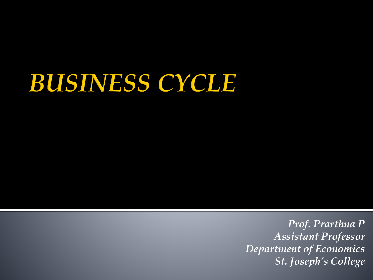### **BUSINESS CYCLE**

*Prof. Prarthna P Assistant Professor Department of Economics St. Joseph's College*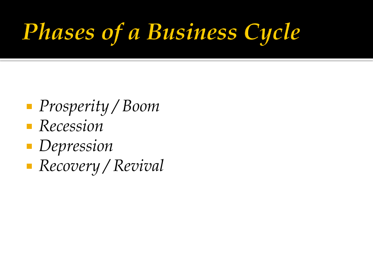## **Phases of a Business Cycle**

- *Prosperity / Boom*
- *Recession*
- *Depression*
- *Recovery / Revival*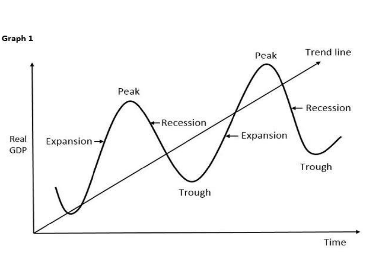

Time

Graph 1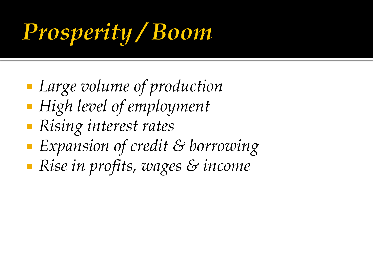## **Prosperity / Boom**

- *Large volume of production*
- *High level of employment*
- *Rising interest rates*
- *Expansion of credit & borrowing*
- *Rise in profits, wages & income*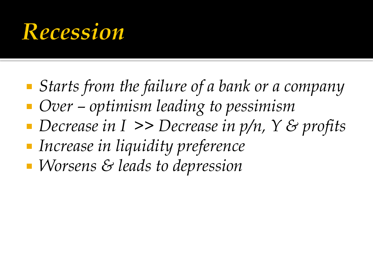#### Recession

- *Starts from the failure of a bank or a company*
- *Over – optimism leading to pessimism*
- *Decrease in I >> Decrease in p/n, Y & profits*
- *Increase in liquidity preference*
- *Worsens & leads to depression*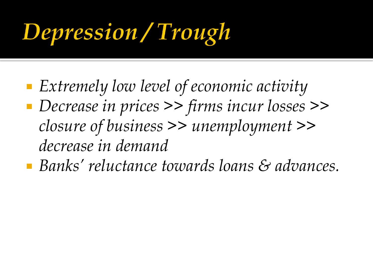## **Depression / Trough**

- *Extremely low level of economic activity*
- *Decrease in prices >> firms incur losses >> closure of business >> unemployment >> decrease in demand*
- *Banks' reluctance towards loans & advances.*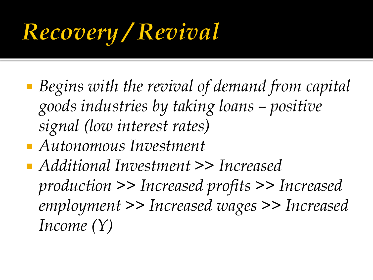## Recovery / Revival

- *Begins with the revival of demand from capital goods industries by taking loans – positive signal (low interest rates)*
- *Autonomous Investment*
- *Additional Investment >> Increased production >> Increased profits >> Increased employment >> Increased wages >> Increased Income (Y)*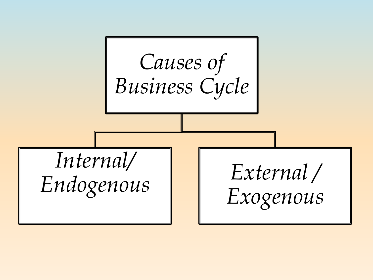*Causes of Business Cycle Internal/ Endogenous External / Exogenous*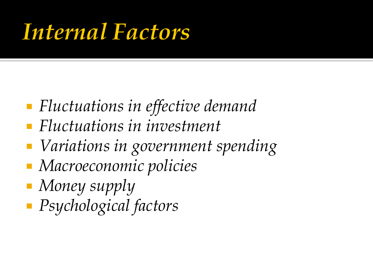### Internal Factors

- *Fluctuations in effective demand*
- *Fluctuations in investment*
- *Variations in government spending*
- *Macroeconomic policies*
- *Money supply*
- *Psychological factors*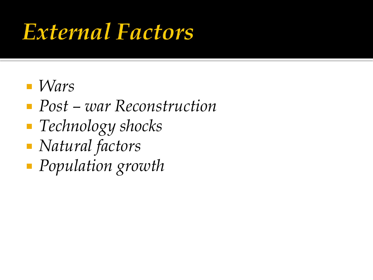### External Factors

- *Wars*
- *Post – war Reconstruction*
- *Technology shocks*
- *Natural factors*
- *Population growth*